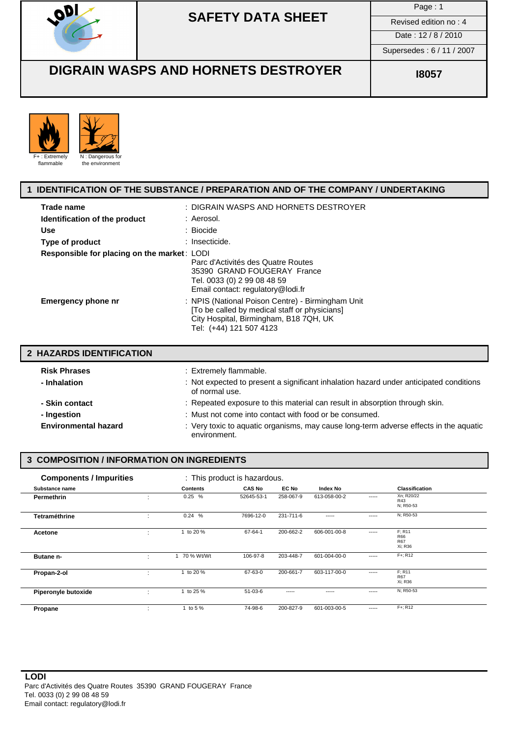

# **SAFETY DATA SHEET**

Page : 1

Date: 12/8/2010 Supersedes : 6 / 11 / 2007

### **DIGRAIN WASPS AND HORNETS DESTROYER** | **ISO** 18057



### **1 IDENTIFICATION OF THE SUBSTANCE / PREPARATION AND OF THE COMPANY / UNDERTAKING**

| Trade name                                  | : DIGRAIN WASPS AND HORNETS DESTROYER                                                                                                                                   |
|---------------------------------------------|-------------------------------------------------------------------------------------------------------------------------------------------------------------------------|
| Identification of the product               | : Aerosol.                                                                                                                                                              |
| <b>Use</b>                                  | : Biocide                                                                                                                                                               |
| Type of product                             | : Insecticide.                                                                                                                                                          |
| Responsible for placing on the market: LODI |                                                                                                                                                                         |
|                                             | Parc d'Activités des Quatre Routes<br>35390 GRAND FOUGERAY France<br>Tel. 0033 (0) 2 99 08 48 59<br>Email contact: regulatory@lodi.fr                                   |
| <b>Emergency phone nr</b>                   | : NPIS (National Poison Centre) - Birmingham Unit<br>[To be called by medical staff or physicians]<br>City Hospital, Birmingham, B18 7QH, UK<br>Tel: (+44) 121 507 4123 |

| 2 HAZARDS IDENTIFICATION    |                                                                                                          |
|-----------------------------|----------------------------------------------------------------------------------------------------------|
| <b>Risk Phrases</b>         | : Extremely flammable.                                                                                   |
| - Inhalation                | : Not expected to present a significant inhalation hazard under anticipated conditions<br>of normal use. |
| - Skin contact              | : Repeated exposure to this material can result in absorption through skin.                              |
| - Ingestion                 | : Must not come into contact with food or be consumed.                                                   |
| <b>Environmental hazard</b> | : Very toxic to aquatic organisms, may cause long-term adverse effects in the aquatic<br>environment.    |

### **3 COMPOSITION / INFORMATION ON INGREDIENTS**

| <b>Components / Impurities</b> |   |                 | : This product is hazardous. |           |              |       |                                               |
|--------------------------------|---|-----------------|------------------------------|-----------|--------------|-------|-----------------------------------------------|
| Substance name                 |   | <b>Contents</b> | <b>CAS No</b>                | EC No     | Index No     |       | <b>Classification</b>                         |
| <b>Permethrin</b>              |   | 0.25%           | 52645-53-1                   | 258-067-9 | 613-058-00-2 | ----- | Xn; R20/22<br>R43<br>N; R50-53                |
| Tetraméthrine                  | ٠ | 0.24%           | 7696-12-0                    | 231-711-6 | -----        | ----- | N; R50-53                                     |
| Acetone                        | ÷ | to 20 %         | 67-64-1                      | 200-662-2 | 606-001-00-8 | ----- | F: R11<br><b>R66</b><br><b>R67</b><br>Xi; R36 |
| Butane n-                      | ÷ | 1 70 % Wt/Wt    | 106-97-8                     | 203-448-7 | 601-004-00-0 | ----- | F+: R12                                       |
| Propan-2-ol                    | ÷ | to 20 %         | 67-63-0                      | 200-661-7 | 603-117-00-0 | ----- | F: R11<br><b>R67</b><br>Xi; R36               |
| Piperonyle butoxide            | ÷ | to 25 %         | 51-03-6                      | -----     | -----        | ----- | N; R50-53                                     |
| Propane                        | ٠ | to 5 %          | 74-98-6                      | 200-827-9 | 601-003-00-5 | ----- | F+: R12                                       |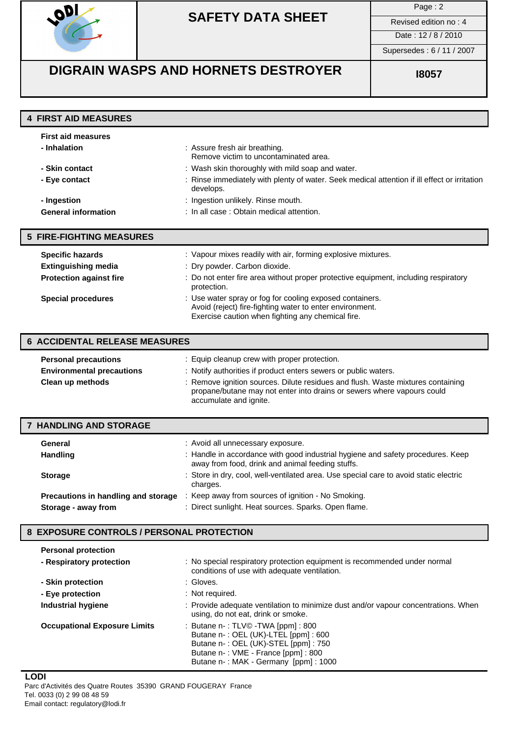

# **SAFETY DATA SHEET** Revised edition no: 4

Page : 2

Date: 12/8/2010

Supersedes : 6 / 11 / 2007

# **DIGRAIN WASPS AND HORNETS DESTROYER** | **ISO** 18057

|  | <b>4 FIRST AID MEASURES</b> |  |  |  |
|--|-----------------------------|--|--|--|
|--|-----------------------------|--|--|--|

| <b>First aid measures</b>  |                                                                                                           |
|----------------------------|-----------------------------------------------------------------------------------------------------------|
| - Inhalation               | : Assure fresh air breathing.<br>Remove victim to uncontaminated area.                                    |
| - Skin contact             | : Wash skin thoroughly with mild soap and water.                                                          |
| - Eye contact              | : Rinse immediately with plenty of water. Seek medical attention if ill effect or irritation<br>develops. |
| - Ingestion                | : Ingestion unlikely. Rinse mouth.                                                                        |
| <b>General information</b> | : In all case : Obtain medical attention.                                                                 |
| 5 FIRE-FIGHTING MEASURES   |                                                                                                           |

| <b>Specific hazards</b>        | : Vapour mixes readily with air, forming explosive mixtures.                                                                                                              |
|--------------------------------|---------------------------------------------------------------------------------------------------------------------------------------------------------------------------|
| <b>Extinguishing media</b>     | : Dry powder. Carbon dioxide.                                                                                                                                             |
| <b>Protection against fire</b> | : Do not enter fire area without proper protective equipment, including respiratory<br>protection.                                                                        |
| <b>Special procedures</b>      | : Use water spray or fog for cooling exposed containers.<br>Avoid (reject) fire-fighting water to enter environment.<br>Exercise caution when fighting any chemical fire. |

| <b>6 ACCIDENTAL RELEASE MEASURES</b> |                                                                                                                                                                                     |  |
|--------------------------------------|-------------------------------------------------------------------------------------------------------------------------------------------------------------------------------------|--|
| <b>Personal precautions</b>          | : Equip cleanup crew with proper protection.                                                                                                                                        |  |
| <b>Environmental precautions</b>     | : Notify authorities if product enters sewers or public waters.                                                                                                                     |  |
| Clean up methods                     | : Remove ignition sources. Dilute residues and flush. Waste mixtures containing<br>propane/butane may not enter into drains or sewers where vapours could<br>accumulate and ignite. |  |

| <b>HANDLING AND STORAGE</b>         |                                                                                                                                     |
|-------------------------------------|-------------------------------------------------------------------------------------------------------------------------------------|
| General                             | : Avoid all unnecessary exposure.                                                                                                   |
| <b>Handling</b>                     | : Handle in accordance with good industrial hygiene and safety procedures. Keep<br>away from food, drink and animal feeding stuffs. |
| <b>Storage</b>                      | : Store in dry, cool, well-ventilated area. Use special care to avoid static electric<br>charges.                                   |
| Precautions in handling and storage | : Keep away from sources of ignition - No Smoking.                                                                                  |
| Storage - away from                 | : Direct sunlight. Heat sources. Sparks. Open flame.                                                                                |

### **8 EXPOSURE CONTROLS / PERSONAL PROTECTION**

| <b>Personal protection</b>          |                                                                                                                                                                                                        |
|-------------------------------------|--------------------------------------------------------------------------------------------------------------------------------------------------------------------------------------------------------|
| - Respiratory protection            | : No special respiratory protection equipment is recommended under normal<br>conditions of use with adequate ventilation.                                                                              |
| - Skin protection                   | : Gloves.                                                                                                                                                                                              |
| - Eye protection                    | : Not required.                                                                                                                                                                                        |
| Industrial hygiene                  | : Provide adequate ventilation to minimize dust and/or vapour concentrations. When<br>using, do not eat, drink or smoke.                                                                               |
| <b>Occupational Exposure Limits</b> | : Butane $n - 1$ : TLV© - TWA [ppm] : 800<br>Butane n-: OEL (UK)-LTEL [ppm]: 600<br>Butane n-: OEL (UK)-STEL [ppm]: 750<br>Butane n-: VME - France [ppm] : 800<br>Butane n-: MAK - Germany [ppm]: 1000 |

**LODI** Parc d'Activités des Quatre Routes 35390 GRAND FOUGERAY France Tel. 0033 (0) 2 99 08 48 59 Email contact: regulatory@lodi.fr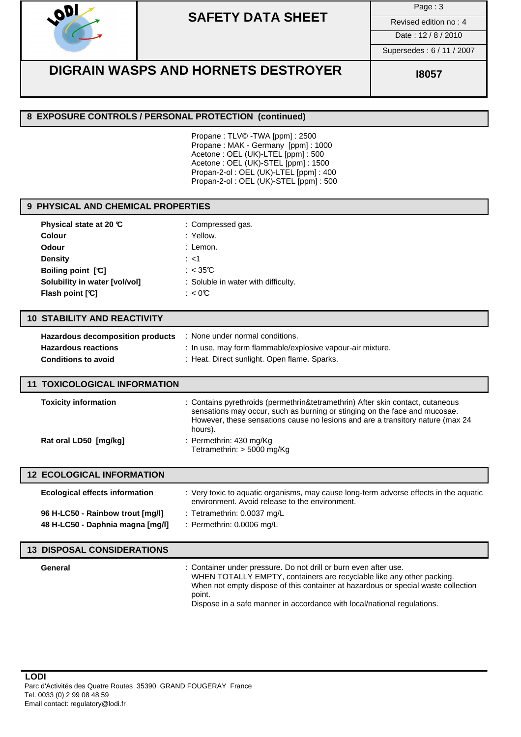

### **SAFETY DATA SHEET** Revised edition no : 4

Page : 3

Date : 12 / 8 / 2010

Supersedes : 6 / 11 / 2007

### **DIGRAIN WASPS AND HORNETS DESTROYER ISO** 18057

### **8 EXPOSURE CONTROLS / PERSONAL PROTECTION (continued)**

Propane : TLV© -TWA [ppm] : 2500 Propane : MAK - Germany [ppm] : 1000 Acetone : OEL (UK)-LTEL [ppm] : 500 Acetone : OEL (UK)-STEL [ppm] : 1500 Propan-2-ol : OEL (UK)-LTEL [ppm] : 400 Propan-2-ol : OEL (UK)-STEL [ppm] : 500

### **9 PHYSICAL AND CHEMICAL PROPERTIES**

| Physical state at 20 $\mathbb C$ | : Compressed gas.                   |
|----------------------------------|-------------------------------------|
| <b>Colour</b>                    | : Yellow.                           |
| Odour                            | : Lemon.                            |
| <b>Density</b>                   | $:$ <1                              |
| <b>Boiling point [C]</b>         | : $<$ 35°C                          |
| Solubility in water [vol/vol]    | : Soluble in water with difficulty. |
| Flash point [°C]                 | : $< 0$ °C                          |

#### **10 STABILITY AND REACTIVITY**

| Hazardous decomposition products | None under normal conditions.                              |
|----------------------------------|------------------------------------------------------------|
| <b>Hazardous reactions</b>       | : In use, may form flammable/explosive vapour-air mixture. |
| <b>Conditions to avoid</b>       | : Heat. Direct sunlight. Open flame. Sparks.               |

#### **11 TOXICOLOGICAL INFORMATION**

| <b>Toxicity information</b> | : Contains pyrethroids (permethrin&tetramethrin) After skin contact, cutaneous<br>sensations may occur, such as burning or stinging on the face and mucosae.<br>However, these sensations cause no lesions and are a transitory nature (max 24<br>hours). |
|-----------------------------|-----------------------------------------------------------------------------------------------------------------------------------------------------------------------------------------------------------------------------------------------------------|
| Rat oral LD50 [mg/kg]       | : Permethrin: 430 mg/Kg<br>Tetramethrin: $> 5000$ mg/Kg                                                                                                                                                                                                   |

| <b>12 ECOLOGICAL INFORMATION</b>      |                                                                                                                                         |
|---------------------------------------|-----------------------------------------------------------------------------------------------------------------------------------------|
| <b>Ecological effects information</b> | : Very toxic to aquatic organisms, may cause long-term adverse effects in the aquatic<br>environment. Avoid release to the environment. |
| 96 H-LC50 - Rainbow trout [mq/l]      | : Tetramethrin: 0.0037 mg/L                                                                                                             |
| 48 H-LC50 - Daphnia magna [mg/l]      | : Permethrin: 0.0006 mg/L                                                                                                               |

#### **13 DISPOSAL CONSIDERATIONS**

**General General** : Container under pressure. Do not drill or burn even after use. WHEN TOTALLY EMPTY, containers are recyclable like any other packing. When not empty dispose of this container at hazardous or special waste collection point. Dispose in a safe manner in accordance with local/national regulations.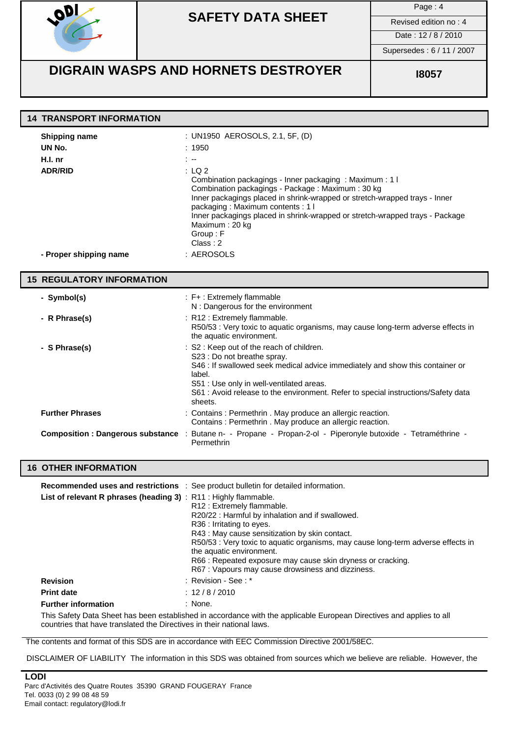

# **SAFETY DATA SHEET** Revised edition no: 4

Page : 4

Date: 12/8/2010

Supersedes : 6 / 11 / 2007

### **DIGRAIN WASPS AND HORNETS DESTROYER** | **ISO** 18057

| <b>14 TRANSPORT INFORMATION</b>                                                       |                                                                                                                                                                                                                                                                                                                                                                                                                                       |
|---------------------------------------------------------------------------------------|---------------------------------------------------------------------------------------------------------------------------------------------------------------------------------------------------------------------------------------------------------------------------------------------------------------------------------------------------------------------------------------------------------------------------------------|
| <b>Shipping name</b><br>UN No.<br>H.I. nr<br><b>ADR/RID</b><br>- Proper shipping name | : UN1950 AEROSOLS, 2.1, 5F, (D)<br>:1950<br>$\sim$<br>: LQ2<br>Combination packagings - Inner packaging : Maximum : 1 I<br>Combination packagings - Package: Maximum: 30 kg<br>Inner packagings placed in shrink-wrapped or stretch-wrapped trays - Inner<br>packaging: Maximum contents: 1 l<br>Inner packagings placed in shrink-wrapped or stretch-wrapped trays - Package<br>Maximum: 20 kg<br>Group: F<br>Class: 2<br>: AEROSOLS |
| <b>15 REGULATORY INFORMATION</b>                                                      |                                                                                                                                                                                                                                                                                                                                                                                                                                       |
| - Symbol(s)                                                                           | $: F+ : Extremely$ flammable<br>N : Dangerous for the environment                                                                                                                                                                                                                                                                                                                                                                     |
| - R Phrase(s)                                                                         | : R12 : Extremely flammable.<br>R50/53 : Very toxic to aquatic organisms, may cause long-term adverse effects in<br>the aquatic environment.                                                                                                                                                                                                                                                                                          |
| - S Phrase(s)                                                                         | : S2 : Keep out of the reach of children.<br>S23 : Do not breathe spray.<br>S46 : If swallowed seek medical advice immediately and show this container or<br>label.<br>S51 : Use only in well-ventilated areas.<br>S61 : Avoid release to the environment. Refer to special instructions/Safety data<br>sheets.                                                                                                                       |
| <b>Further Phrases</b>                                                                | : Contains : Permethrin . May produce an allergic reaction.<br>Contains : Permethrin . May produce an allergic reaction.                                                                                                                                                                                                                                                                                                              |
|                                                                                       | Composition : Dangerous substance : Butane n- - Propane - Propan-2-ol - Piperonyle butoxide - Tetraméthrine -<br>Permethrin                                                                                                                                                                                                                                                                                                           |
| <b>16 OTHER INFORMATION</b>                                                           |                                                                                                                                                                                                                                                                                                                                                                                                                                       |
| List of relevant R phrases (heading 3): R11: Highly flammable.                        | Recommended uses and restrictions : See product bulletin for detailed information.<br>R12 : Extremely flammable.<br>R20/22 : Harmful by inhalation and if swallowed.<br>R36 : Irritating to eyes.<br>R43 : May cause sensitization by skin contact.<br>R50/53 : Very toxic to aquatic organisms, may cause long-term adverse effects in<br>the aquatic environment.<br>R66 : Repeated exposure may cause skin dryness or cracking.    |

R67 : Vapours may cause drowsiness and dizziness.

**Revision** : Revision - See : \* **Print date** : 12 / 8 / 2010

**Further information** : None.

This Safety Data Sheet has been established in accordance with the applicable European Directives and applies to all countries that have translated the Directives in their national laws.

The contents and format of this SDS are in accordance with EEC Commission Directive 2001/58EC.

DISCLAIMER OF LIABILITY The information in this SDS was obtained from sources which we believe are reliable. However, the